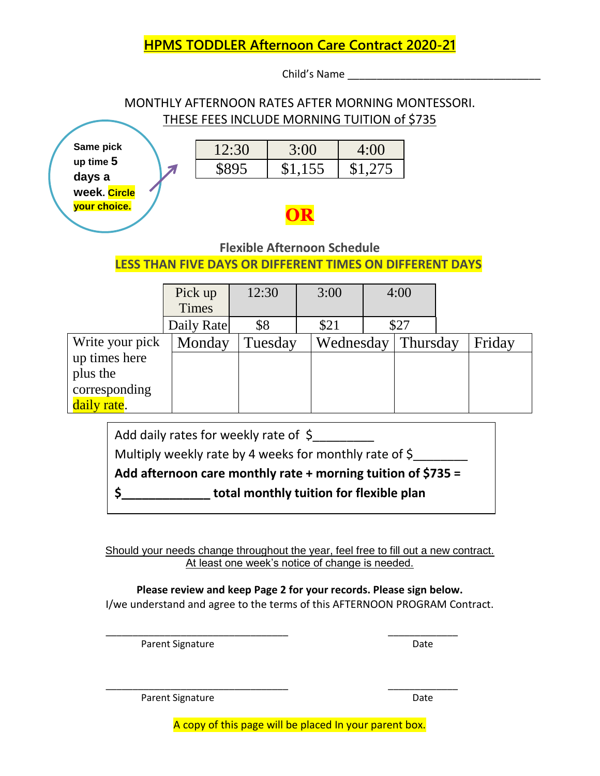# **HPMS TODDLER Afternoon Care Contract 2020-21**

Child's Name \_\_\_\_\_\_\_\_\_\_\_\_\_\_\_\_\_\_\_\_\_\_\_\_\_\_\_\_\_\_\_\_\_

## MONTHLY AFTERNOON RATES AFTER MORNING MONTESSORI. THESE FEES INCLUDE MORNING TUITION of \$735

**Same pick up time 5 days a week. Circle your choice.**

| 12:30 | 3:00    | 4:00    |  |  |
|-------|---------|---------|--|--|
| 8895  | \$1,155 | \$1,275 |  |  |

# **OR**

## **Flexible Afternoon Schedule**

**LESS THAN FIVE DAYS OR DIFFERENT TIMES ON DIFFERENT DAYS**

|                 | Pick up      | 12:30   | 3:00      | 4:00 |          |  |        |
|-----------------|--------------|---------|-----------|------|----------|--|--------|
|                 | <b>Times</b> |         |           |      |          |  |        |
|                 | Daily Rate   | \$8     | \$21      |      | \$27     |  |        |
| Write your pick | Monday       | Tuesday | Wednesday |      | Thursday |  | Friday |
| up times here   |              |         |           |      |          |  |        |
| plus the        |              |         |           |      |          |  |        |
| corresponding   |              |         |           |      |          |  |        |
| daily rate.     |              |         |           |      |          |  |        |

| Add daily rates for weekly rate of $\zeta$                     |  |  |  |  |
|----------------------------------------------------------------|--|--|--|--|
| Multiply weekly rate by 4 weeks for monthly rate of \$         |  |  |  |  |
| Add afternoon care monthly rate $+$ morning tuition of \$735 = |  |  |  |  |
| total monthly tuition for flexible plan                        |  |  |  |  |
|                                                                |  |  |  |  |

Should your needs change throughout the year, feel free to fill out a new contract. At least one week's notice of change is needed.

**Please review and keep Page 2 for your records. Please sign below.** I/we understand and agree to the terms of this AFTERNOON PROGRAM Contract.

\_\_\_\_\_\_\_\_\_\_\_\_\_\_\_\_\_\_\_\_\_\_\_\_\_\_\_\_\_\_\_\_\_\_ \_\_\_\_\_\_\_\_\_\_\_\_\_

\_\_\_\_\_\_\_\_\_\_\_\_\_\_\_\_\_\_\_\_\_\_\_\_\_\_\_\_\_\_\_\_\_\_ \_\_\_\_\_\_\_\_\_\_\_\_\_

Parent Signature Date

Parent Signature Date

A copy of this page will be placed In your parent box.